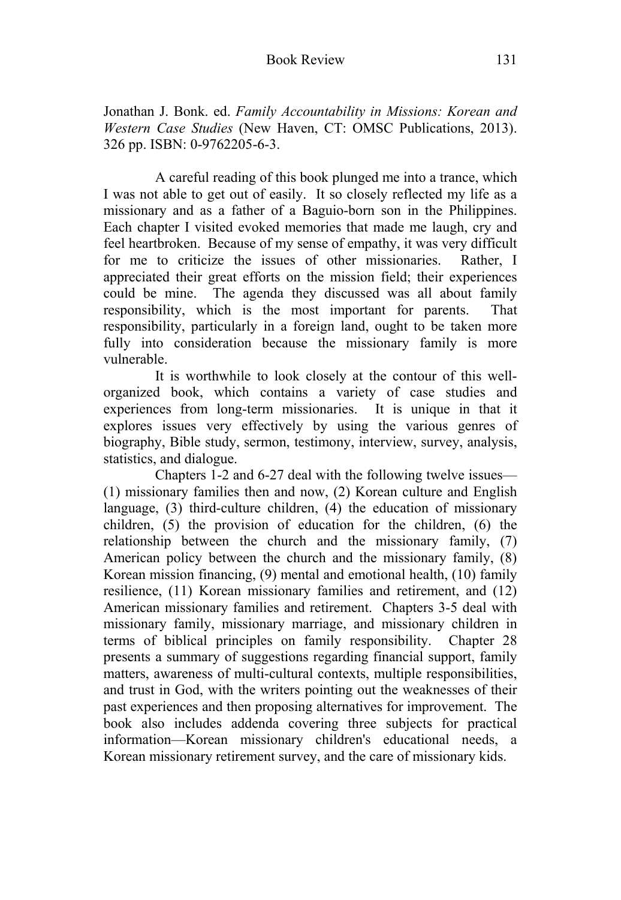Jonathan J. Bonk. ed. *Family Accountability in Missions: Korean and Western Case Studies* (New Haven, CT: OMSC Publications, 2013). 326 pp. ISBN: 0-9762205-6-3.

A careful reading of this book plunged me into a trance, which I was not able to get out of easily. It so closely reflected my life as a missionary and as a father of a Baguio-born son in the Philippines. Each chapter I visited evoked memories that made me laugh, cry and feel heartbroken. Because of my sense of empathy, it was very difficult for me to criticize the issues of other missionaries. Rather, I appreciated their great efforts on the mission field; their experiences could be mine. The agenda they discussed was all about family responsibility, which is the most important for parents. That responsibility, particularly in a foreign land, ought to be taken more fully into consideration because the missionary family is more vulnerable.

 It is worthwhile to look closely at the contour of this wellorganized book, which contains a variety of case studies and experiences from long-term missionaries. It is unique in that it explores issues very effectively by using the various genres of biography, Bible study, sermon, testimony, interview, survey, analysis, statistics, and dialogue.

 Chapters 1-2 and 6-27 deal with the following twelve issues— (1) missionary families then and now, (2) Korean culture and English language, (3) third-culture children, (4) the education of missionary children, (5) the provision of education for the children, (6) the relationship between the church and the missionary family, (7) American policy between the church and the missionary family, (8) Korean mission financing, (9) mental and emotional health, (10) family resilience, (11) Korean missionary families and retirement, and (12) American missionary families and retirement. Chapters 3-5 deal with missionary family, missionary marriage, and missionary children in terms of biblical principles on family responsibility. Chapter 28 presents a summary of suggestions regarding financial support, family matters, awareness of multi-cultural contexts, multiple responsibilities, and trust in God, with the writers pointing out the weaknesses of their past experiences and then proposing alternatives for improvement. The book also includes addenda covering three subjects for practical information—Korean missionary children's educational needs, a Korean missionary retirement survey, and the care of missionary kids.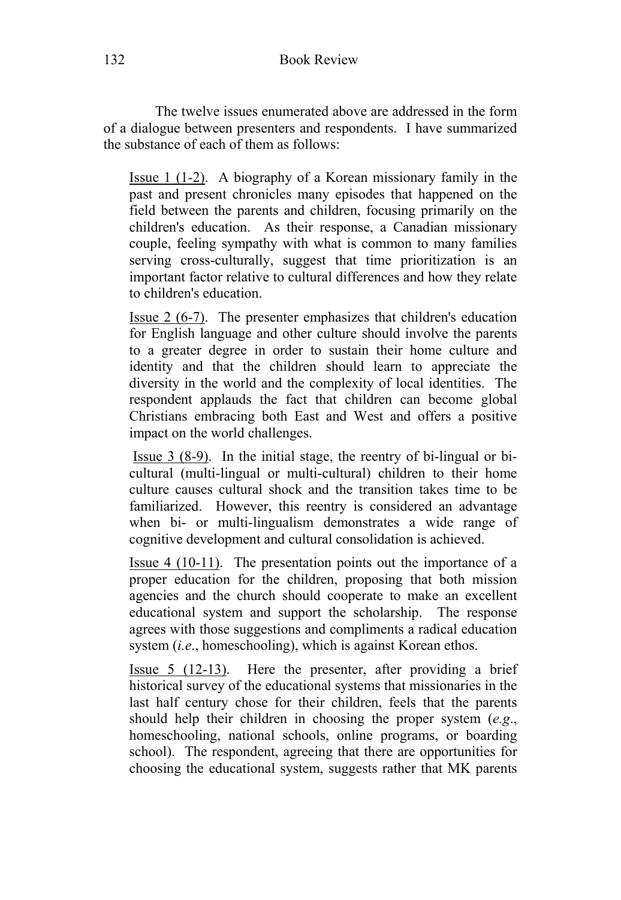The twelve issues enumerated above are addressed in the form of a dialogue between presenters and respondents. I have summarized the substance of each of them as follows:

Issue 1 (1-2). A biography of a Korean missionary family in the past and present chronicles many episodes that happened on the field between the parents and children, focusing primarily on the children's education. As their response, a Canadian missionary couple, feeling sympathy with what is common to many families serving cross-culturally, suggest that time prioritization is an important factor relative to cultural differences and how they relate to children's education.

Issue 2 (6-7). The presenter emphasizes that children's education for English language and other culture should involve the parents to a greater degree in order to sustain their home culture and identity and that the children should learn to appreciate the diversity in the world and the complexity of local identities. The respondent applauds the fact that children can become global Christians embracing both East and West and offers a positive impact on the world challenges.

 Issue 3 (8-9). In the initial stage, the reentry of bi-lingual or bicultural (multi-lingual or multi-cultural) children to their home culture causes cultural shock and the transition takes time to be familiarized. However, this reentry is considered an advantage when bi- or multi-lingualism demonstrates a wide range of cognitive development and cultural consolidation is achieved.

Issue 4 (10-11). The presentation points out the importance of a proper education for the children, proposing that both mission agencies and the church should cooperate to make an excellent educational system and support the scholarship. The response agrees with those suggestions and compliments a radical education system (*i.e.*, homeschooling), which is against Korean ethos.

Issue 5 (12-13). Here the presenter, after providing a brief historical survey of the educational systems that missionaries in the last half century chose for their children, feels that the parents should help their children in choosing the proper system (*e.g*., homeschooling, national schools, online programs, or boarding school). The respondent, agreeing that there are opportunities for choosing the educational system, suggests rather that MK parents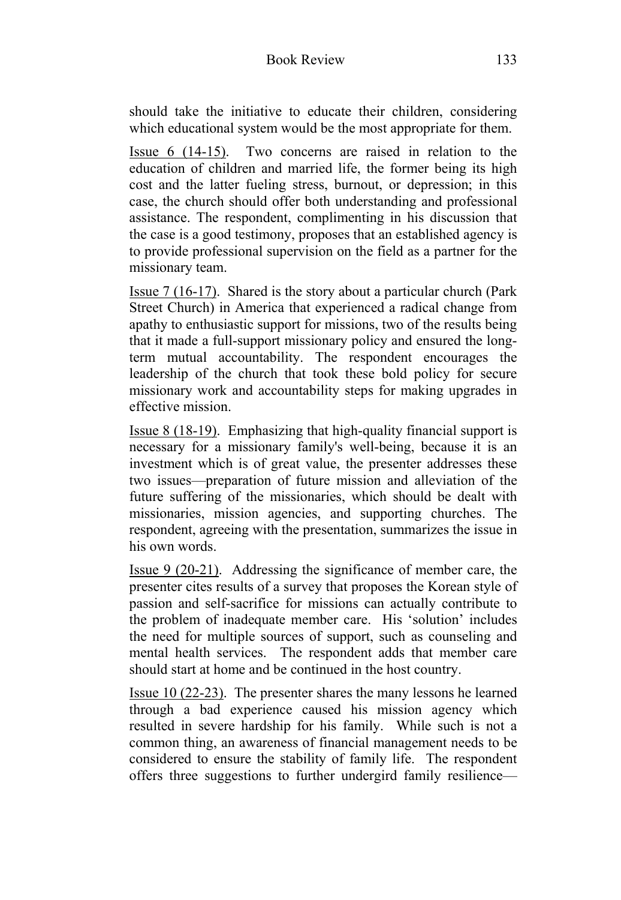should take the initiative to educate their children, considering which educational system would be the most appropriate for them.

Issue 6 (14-15). Two concerns are raised in relation to the education of children and married life, the former being its high cost and the latter fueling stress, burnout, or depression; in this case, the church should offer both understanding and professional assistance. The respondent, complimenting in his discussion that the case is a good testimony, proposes that an established agency is to provide professional supervision on the field as a partner for the missionary team.

Issue 7 (16-17). Shared is the story about a particular church (Park Street Church) in America that experienced a radical change from apathy to enthusiastic support for missions, two of the results being that it made a full-support missionary policy and ensured the longterm mutual accountability. The respondent encourages the leadership of the church that took these bold policy for secure missionary work and accountability steps for making upgrades in effective mission.

Issue 8 (18-19). Emphasizing that high-quality financial support is necessary for a missionary family's well-being, because it is an investment which is of great value, the presenter addresses these two issues—preparation of future mission and alleviation of the future suffering of the missionaries, which should be dealt with missionaries, mission agencies, and supporting churches. The respondent, agreeing with the presentation, summarizes the issue in his own words.

Issue 9 (20-21). Addressing the significance of member care, the presenter cites results of a survey that proposes the Korean style of passion and self-sacrifice for missions can actually contribute to the problem of inadequate member care. His 'solution' includes the need for multiple sources of support, such as counseling and mental health services. The respondent adds that member care should start at home and be continued in the host country.

Issue 10 (22-23). The presenter shares the many lessons he learned through a bad experience caused his mission agency which resulted in severe hardship for his family. While such is not a common thing, an awareness of financial management needs to be considered to ensure the stability of family life. The respondent offers three suggestions to further undergird family resilience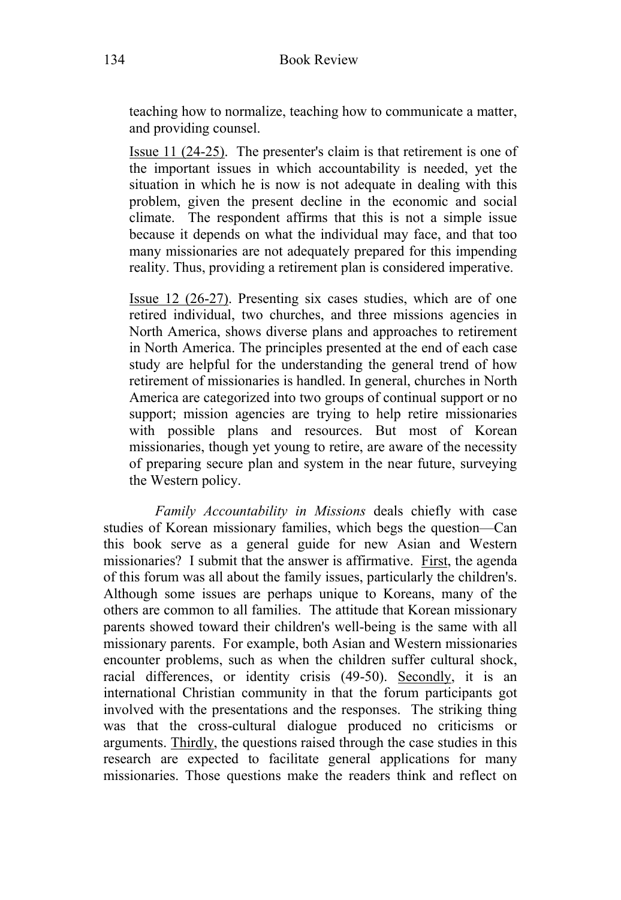teaching how to normalize, teaching how to communicate a matter, and providing counsel.

Issue 11 (24-25). The presenter's claim is that retirement is one of the important issues in which accountability is needed, yet the situation in which he is now is not adequate in dealing with this problem, given the present decline in the economic and social climate. The respondent affirms that this is not a simple issue because it depends on what the individual may face, and that too many missionaries are not adequately prepared for this impending reality. Thus, providing a retirement plan is considered imperative.

Issue 12 (26-27). Presenting six cases studies, which are of one retired individual, two churches, and three missions agencies in North America, shows diverse plans and approaches to retirement in North America. The principles presented at the end of each case study are helpful for the understanding the general trend of how retirement of missionaries is handled. In general, churches in North America are categorized into two groups of continual support or no support; mission agencies are trying to help retire missionaries with possible plans and resources. But most of Korean missionaries, though yet young to retire, are aware of the necessity of preparing secure plan and system in the near future, surveying the Western policy.

 *Family Accountability in Missions* deals chiefly with case studies of Korean missionary families, which begs the question—Can this book serve as a general guide for new Asian and Western missionaries? I submit that the answer is affirmative. First, the agenda of this forum was all about the family issues, particularly the children's. Although some issues are perhaps unique to Koreans, many of the others are common to all families. The attitude that Korean missionary parents showed toward their children's well-being is the same with all missionary parents. For example, both Asian and Western missionaries encounter problems, such as when the children suffer cultural shock, racial differences, or identity crisis (49-50). Secondly, it is an international Christian community in that the forum participants got involved with the presentations and the responses. The striking thing was that the cross-cultural dialogue produced no criticisms or arguments. Thirdly, the questions raised through the case studies in this research are expected to facilitate general applications for many missionaries. Those questions make the readers think and reflect on